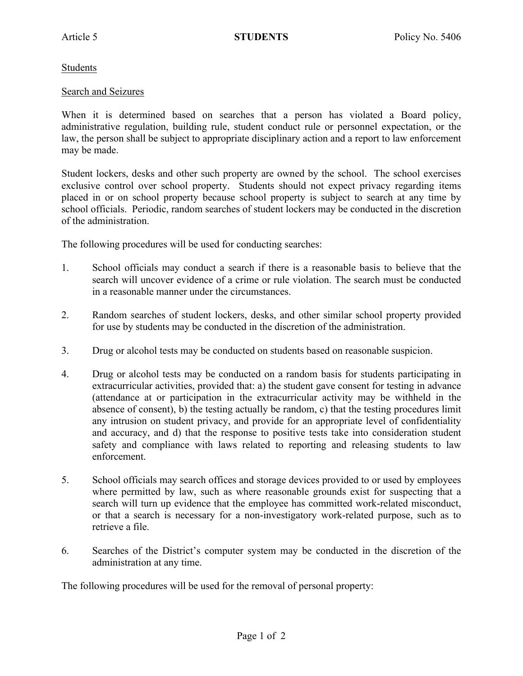## Students

## Search and Seizures

When it is determined based on searches that a person has violated a Board policy, administrative regulation, building rule, student conduct rule or personnel expectation, or the law, the person shall be subject to appropriate disciplinary action and a report to law enforcement may be made.

Student lockers, desks and other such property are owned by the school. The school exercises exclusive control over school property. Students should not expect privacy regarding items placed in or on school property because school property is subject to search at any time by school officials. Periodic, random searches of student lockers may be conducted in the discretion of the administration.

The following procedures will be used for conducting searches:

- 1. School officials may conduct a search if there is a reasonable basis to believe that the search will uncover evidence of a crime or rule violation. The search must be conducted in a reasonable manner under the circumstances.
- 2. Random searches of student lockers, desks, and other similar school property provided for use by students may be conducted in the discretion of the administration.
- 3. Drug or alcohol tests may be conducted on students based on reasonable suspicion.
- 4. Drug or alcohol tests may be conducted on a random basis for students participating in extracurricular activities, provided that: a) the student gave consent for testing in advance (attendance at or participation in the extracurricular activity may be withheld in the absence of consent), b) the testing actually be random, c) that the testing procedures limit any intrusion on student privacy, and provide for an appropriate level of confidentiality and accuracy, and d) that the response to positive tests take into consideration student safety and compliance with laws related to reporting and releasing students to law enforcement.
- 5. School officials may search offices and storage devices provided to or used by employees where permitted by law, such as where reasonable grounds exist for suspecting that a search will turn up evidence that the employee has committed work-related misconduct, or that a search is necessary for a non-investigatory work-related purpose, such as to retrieve a file.
- 6. Searches of the District's computer system may be conducted in the discretion of the administration at any time.

The following procedures will be used for the removal of personal property: